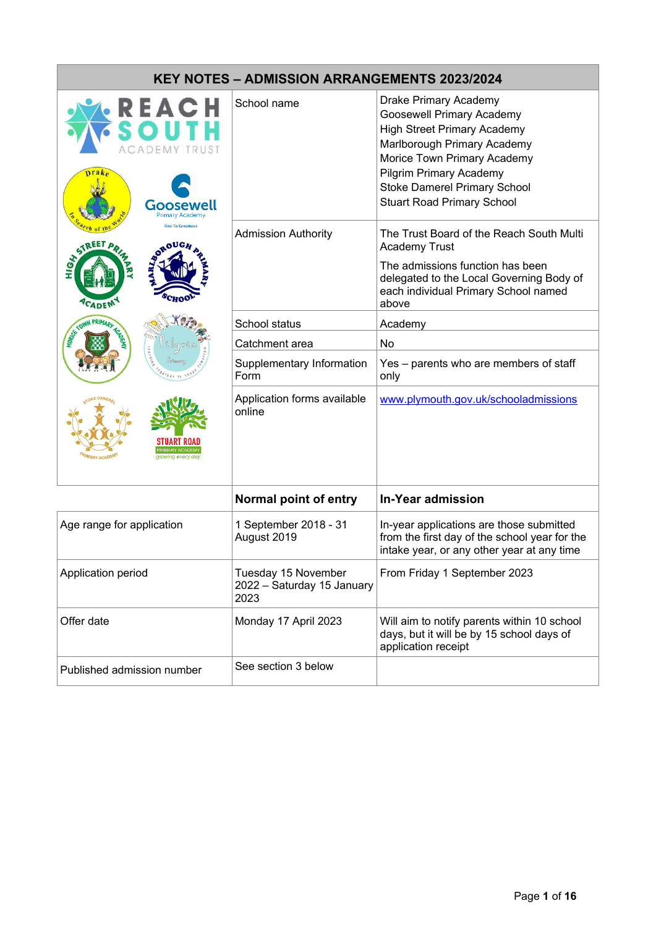| <b>KEY NOTES - ADMISSION ARRANGEMENTS 2023/2024</b> |                                                           |                                                                                                                                                                                                                                                                             |  |  |
|-----------------------------------------------------|-----------------------------------------------------------|-----------------------------------------------------------------------------------------------------------------------------------------------------------------------------------------------------------------------------------------------------------------------------|--|--|
| REACH<br>Goose<br>Primary Academ                    | School name                                               | Drake Primary Academy<br><b>Goosewell Primary Academy</b><br><b>High Street Primary Academy</b><br>Marlborough Primary Academy<br>Morice Town Primary Academy<br><b>Pilgrim Primary Academy</b><br><b>Stoke Damerel Primary School</b><br><b>Stuart Road Primary School</b> |  |  |
|                                                     | <b>Admission Authority</b>                                | The Trust Board of the Reach South Multi<br><b>Academy Trust</b><br>The admissions function has been<br>delegated to the Local Governing Body of<br>each individual Primary School named<br>above                                                                           |  |  |
|                                                     | School status                                             | Academy                                                                                                                                                                                                                                                                     |  |  |
|                                                     | Catchment area                                            | No                                                                                                                                                                                                                                                                          |  |  |
|                                                     | Supplementary Information<br>Form                         | Yes - parents who are members of staff<br>only                                                                                                                                                                                                                              |  |  |
|                                                     | Application forms available<br>online                     | www.plymouth.gov.uk/schooladmissions                                                                                                                                                                                                                                        |  |  |
|                                                     | Normal point of entry                                     | <b>In-Year admission</b>                                                                                                                                                                                                                                                    |  |  |
| Age range for application                           | 1 September 2018 - 31<br>August 2019                      | In-year applications are those submitted<br>from the first day of the school year for the<br>intake year, or any other year at any time                                                                                                                                     |  |  |
| Application period                                  | Tuesday 15 November<br>2022 - Saturday 15 January<br>2023 | From Friday 1 September 2023                                                                                                                                                                                                                                                |  |  |
| Offer date                                          | Monday 17 April 2023                                      | Will aim to notify parents within 10 school<br>days, but it will be by 15 school days of<br>application receipt                                                                                                                                                             |  |  |
| Published admission number                          | See section 3 below                                       |                                                                                                                                                                                                                                                                             |  |  |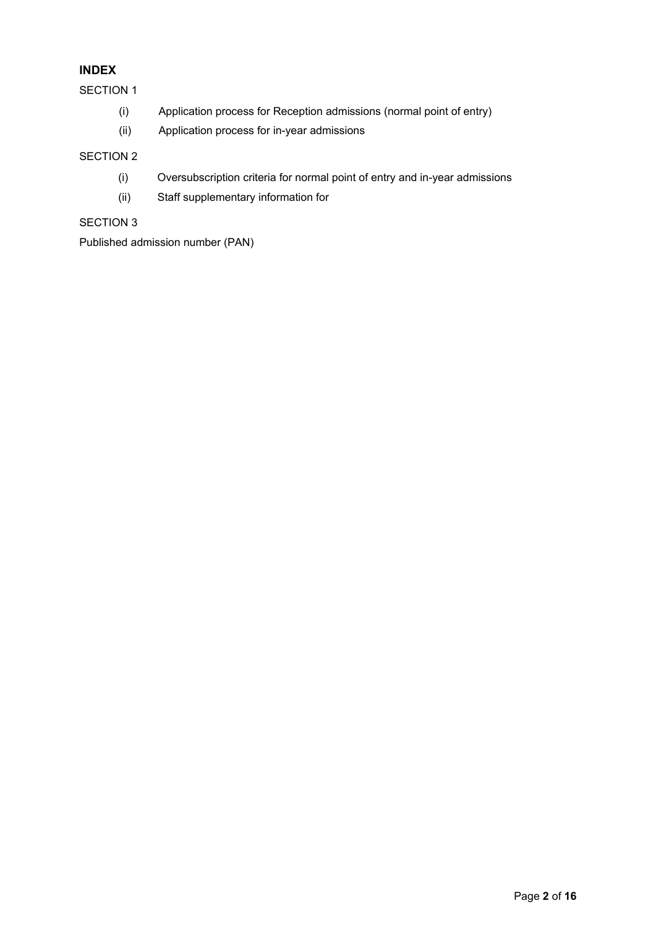# **INDEX**

SECTION 1

- (i) Application process for Reception admissions (normal point of entry)
- (ii) Application process for in-year admissions

## SECTION 2

- (i) Oversubscription criteria for normal point of entry and in-year admissions
- (ii) Staff supplementary information for

## SECTION 3

Published admission number (PAN)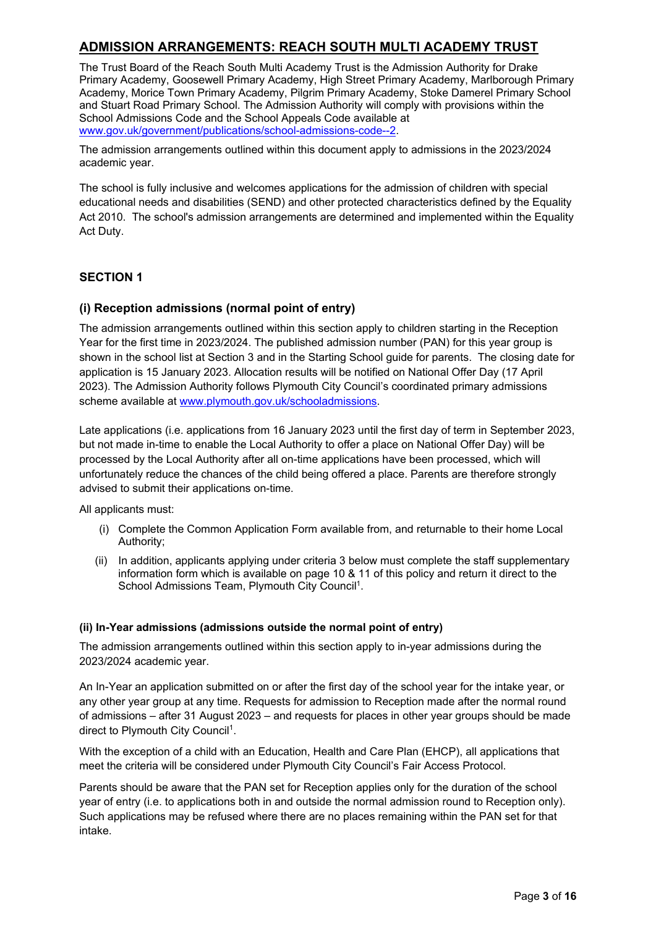# **ADMISSION ARRANGEMENTS: REACH SOUTH MULTI ACADEMY TRUST**

The Trust Board of the Reach South Multi Academy Trust is the Admission Authority for Drake Primary Academy, Goosewell Primary Academy, High Street Primary Academy, Marlborough Primary Academy, Morice Town Primary Academy, Pilgrim Primary Academy, Stoke Damerel Primary School and Stuart Road Primary School. The Admission Authority will comply with provisions within the School Admissions Code and the School Appeals Code available at [www.gov.uk/government/publications/school-admissions-code--2.](http://www.gov.uk/government/publications/school-admissions-code--2)

The admission arrangements outlined within this document apply to admissions in the 2023/2024 academic year.

The school is fully inclusive and welcomes applications for the admission of children with special educational needs and disabilities (SEND) and other protected characteristics defined by the Equality Act 2010. The school's admission arrangements are determined and implemented within the Equality Act Duty.

## **SECTION 1**

## **(i) Reception admissions (normal point of entry)**

The admission arrangements outlined within this section apply to children starting in the Reception Year for the first time in 2023/2024. The published admission number (PAN) for this year group is shown in the school list at Section 3 and in the Starting School guide for parents. The closing date for application is 15 January 2023. Allocation results will be notified on National Offer Day (17 April 2023). The Admission Authority follows Plymouth City Council's coordinated primary admissions scheme available at [www.plymouth.gov.uk/schooladmissions.](http://www.plymouth.gov.uk/schooladmissions)

Late applications (i.e. applications from 16 January 2023 until the first day of term in September 2023, but not made in-time to enable the Local Authority to offer a place on National Offer Day) will be processed by the Local Authority after all on-time applications have been processed, which will unfortunately reduce the chances of the child being offered a place. Parents are therefore strongly advised to submit their applications on-time.

All applicants must:

- (i) Complete the Common Application Form available from, and returnable to their home Local Authority;
- (ii) In addition, applicants applying under criteria 3 below must complete the staff supplementary information form which is available on page 10 & 11 of this policy and return it direct to the School Admissions Team, Plymouth City Council<sup>1</sup>.

## **(ii) In-Year admissions (admissions outside the normal point of entry)**

The admission arrangements outlined within this section apply to in-year admissions during the 2023/2024 academic year.

An In-Year an application submitted on or after the first day of the school year for the intake year, or any other year group at any time. Requests for admission to Reception made after the normal round of admissions – after 31 August 2023 – and requests for places in other year groups should be made direct to Plymouth City Council<sup>1</sup>.

With the exception of a child with an Education, Health and Care Plan (EHCP), all applications that meet the criteria will be considered under Plymouth City Council's Fair Access Protocol.

Parents should be aware that the PAN set for Reception applies only for the duration of the school year of entry (i.e. to applications both in and outside the normal admission round to Reception only). Such applications may be refused where there are no places remaining within the PAN set for that intake.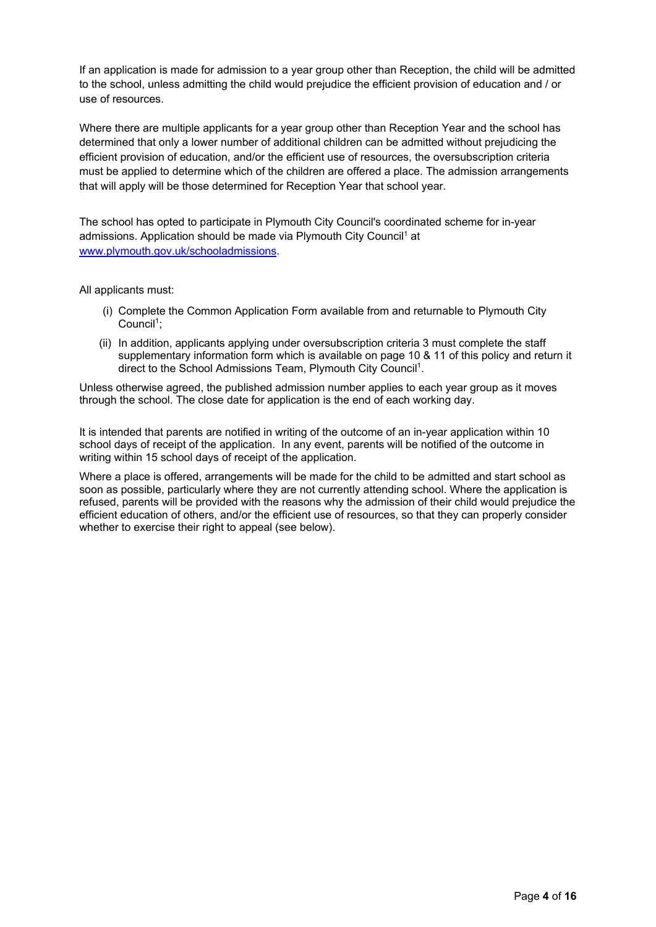If an application is made for admission to a year group other than Reception, the child will be admitted to the school, unless admitting the child would prejudice the efficient provision of education and / or use of resources.

Where there are multiple applicants for a year group other than Reception Year and the school has determined that only a lower number of additional children can be admitted without prejudicing the efficient provision of education, and/or the efficient use of resources, the oversubscription criteria must be applied to determine which of the children are offered a place. The admission arrangements that will apply will be those determined for Reception Year that school year.

The school has opted to participate in Plymouth City Council's coordinated scheme for in-year admissions. Application should be made via Plymouth City Council<sup>1</sup> at [www.plymouth.gov.uk/schooladmissions.](http://www.plymouth.gov.uk/schooladmissions)

All applicants must:

- (i) Complete the Common Application Form available from and returnable to Plymouth City  $Count<sup>1</sup>$ :
- (ii) In addition, applicants applying under oversubscription criteria 3 must complete the staff supplementary information form which is available on page 10 & 11 of this policy and return it direct to the School Admissions Team, Plymouth City Council<sup>1</sup>.

Unless otherwise agreed, the published admission number applies to each year group as it moves through the school. The close date for application is the end of each working day.

It is intended that parents are notified in writing of the outcome of an in-year application within 10 school days of receipt of the application. In any event, parents will be notified of the outcome in writing within 15 school days of receipt of the application.

Where a place is offered, arrangements will be made for the child to be admitted and start school as soon as possible, particularly where they are not currently attending school. Where the application is refused, parents will be provided with the reasons why the admission of their child would prejudice the efficient education of others, and/or the efficient use of resources, so that they can properly consider whether to exercise their right to appeal (see below).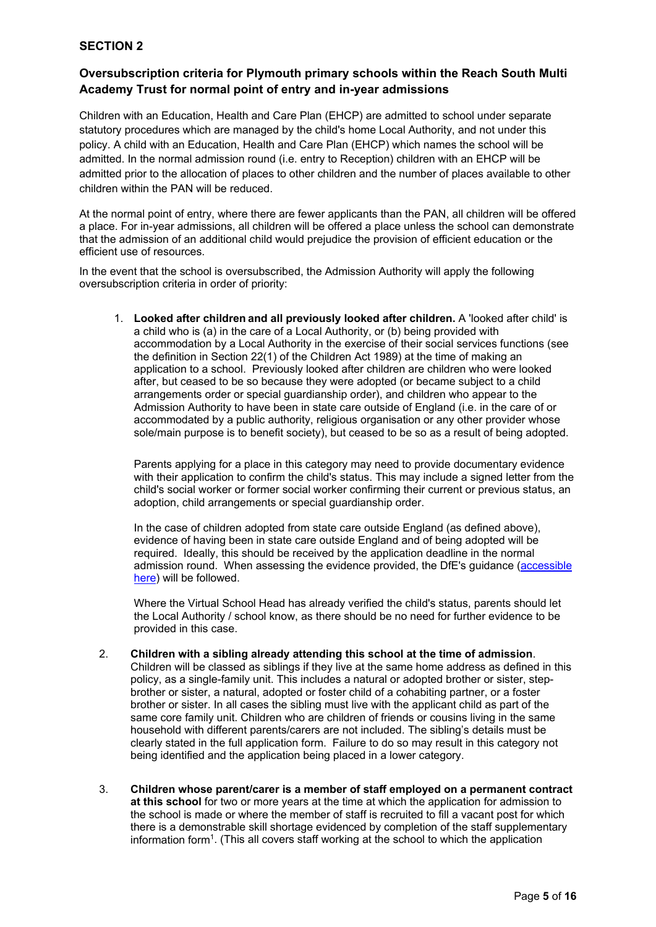# **SECTION 2**

## **Oversubscription criteria for Plymouth primary schools within the Reach South Multi Academy Trust for normal point of entry and in-year admissions**

Children with an Education, Health and Care Plan (EHCP) are admitted to school under separate statutory procedures which are managed by the child's home Local Authority, and not under this policy. A child with an Education, Health and Care Plan (EHCP) which names the school will be admitted. In the normal admission round (i.e. entry to Reception) children with an EHCP will be admitted prior to the allocation of places to other children and the number of places available to other children within the PAN will be reduced.

At the normal point of entry, where there are fewer applicants than the PAN, all children will be offered a place. For in-year admissions, all children will be offered a place unless the school can demonstrate that the admission of an additional child would prejudice the provision of efficient education or the efficient use of resources.

In the event that the school is oversubscribed, the Admission Authority will apply the following oversubscription criteria in order of priority:

1. **Looked after children and all previously looked after children.** A 'looked after child' is a child who is (a) in the care of a Local Authority, or (b) being provided with accommodation by a Local Authority in the exercise of their social services functions (see the definition in Section 22(1) of the Children Act 1989) at the time of making an application to a school. Previously looked after children are children who were looked after, but ceased to be so because they were adopted (or became subject to a child arrangements order or special guardianship order), and children who appear to the Admission Authority to have been in state care outside of England (i.e. in the care of or accommodated by a public authority, religious organisation or any other provider whose sole/main purpose is to benefit society), but ceased to be so as a result of being adopted.

Parents applying for a place in this category may need to provide documentary evidence with their application to confirm the child's status. This may include a signed letter from the child's social worker or former social worker confirming their current or previous status, an adoption, child arrangements or special guardianship order.

In the case of children adopted from state care outside England (as defined above), evidence of having been in state care outside England and of being adopted will be required. Ideally, this should be received by the application deadline in the normal admission round. When assessing the evidence provided, the DfE's guidance [\(accessible](about:blank)  [here\)](about:blank) will be followed.

Where the Virtual School Head has already verified the child's status, parents should let the Local Authority / school know, as there should be no need for further evidence to be provided in this case.

- 2. **Children with a sibling already attending this school at the time of admission**. Children will be classed as siblings if they live at the same home address as defined in this policy, as a single-family unit. This includes a natural or adopted brother or sister, stepbrother or sister, a natural, adopted or foster child of a cohabiting partner, or a foster brother or sister. In all cases the sibling must live with the applicant child as part of the same core family unit. Children who are children of friends or cousins living in the same household with different parents/carers are not included. The sibling's details must be clearly stated in the full application form. Failure to do so may result in this category not being identified and the application being placed in a lower category.
- 3. **Children whose parent/carer is a member of staff employed on a permanent contract at this school** for two or more years at the time at which the application for admission to the school is made or where the member of staff is recruited to fill a vacant post for which there is a demonstrable skill shortage evidenced by completion of the staff supplementary information form1. (This all covers staff working at the school to which the application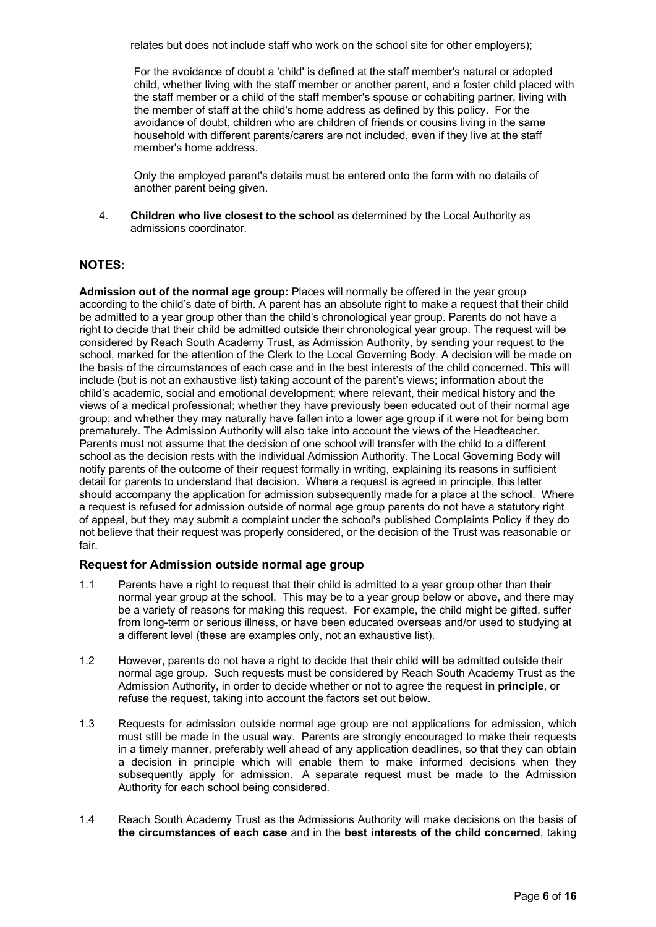relates but does not include staff who work on the school site for other employers);

For the avoidance of doubt a 'child' is defined at the staff member's natural or adopted child, whether living with the staff member or another parent, and a foster child placed with the staff member or a child of the staff member's spouse or cohabiting partner, living with the member of staff at the child's home address as defined by this policy. For the avoidance of doubt, children who are children of friends or cousins living in the same household with different parents/carers are not included, even if they live at the staff member's home address.

Only the employed parent's details must be entered onto the form with no details of another parent being given.

4. **Children who live closest to the school** as determined by the Local Authority as admissions coordinator.

## **NOTES:**

**Admission out of the normal age group:** Places will normally be offered in the year group according to the child's date of birth. A parent has an absolute right to make a request that their child be admitted to a year group other than the child's chronological year group. Parents do not have a right to decide that their child be admitted outside their chronological year group. The request will be considered by Reach South Academy Trust, as Admission Authority, by sending your request to the school, marked for the attention of the Clerk to the Local Governing Body. A decision will be made on the basis of the circumstances of each case and in the best interests of the child concerned. This will include (but is not an exhaustive list) taking account of the parent's views; information about the child's academic, social and emotional development; where relevant, their medical history and the views of a medical professional; whether they have previously been educated out of their normal age group; and whether they may naturally have fallen into a lower age group if it were not for being born prematurely. The Admission Authority will also take into account the views of the Headteacher. Parents must not assume that the decision of one school will transfer with the child to a different school as the decision rests with the individual Admission Authority. The Local Governing Body will notify parents of the outcome of their request formally in writing, explaining its reasons in sufficient detail for parents to understand that decision. Where a request is agreed in principle, this letter should accompany the application for admission subsequently made for a place at the school. Where a request is refused for admission outside of normal age group parents do not have a statutory right of appeal, but they may submit a complaint under the school's published Complaints Policy if they do not believe that their request was properly considered, or the decision of the Trust was reasonable or fair.

## **Request for Admission outside normal age group**

- 1.1 Parents have a right to request that their child is admitted to a year group other than their normal year group at the school. This may be to a year group below or above, and there may be a variety of reasons for making this request. For example, the child might be gifted, suffer from long-term or serious illness, or have been educated overseas and/or used to studying at a different level (these are examples only, not an exhaustive list).
- 1.2 However, parents do not have a right to decide that their child **will** be admitted outside their normal age group. Such requests must be considered by Reach South Academy Trust as the Admission Authority, in order to decide whether or not to agree the request **in principle**, or refuse the request, taking into account the factors set out below.
- 1.3 Requests for admission outside normal age group are not applications for admission, which must still be made in the usual way. Parents are strongly encouraged to make their requests in a timely manner, preferably well ahead of any application deadlines, so that they can obtain a decision in principle which will enable them to make informed decisions when they subsequently apply for admission. A separate request must be made to the Admission Authority for each school being considered.
- 1.4 Reach South Academy Trust as the Admissions Authority will make decisions on the basis of **the circumstances of each case** and in the **best interests of the child concerned**, taking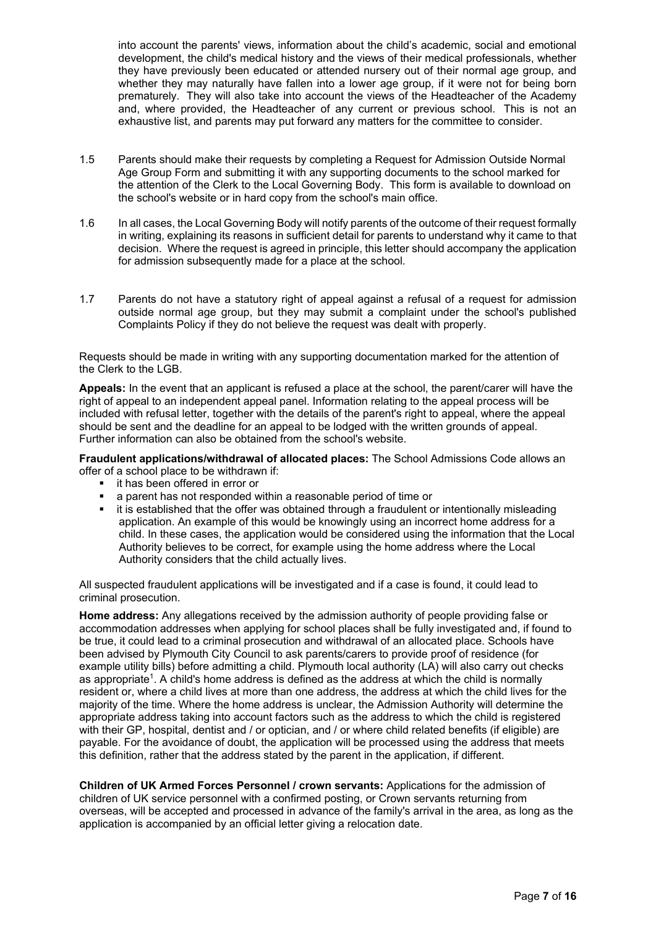into account the parents' views, information about the child's academic, social and emotional development, the child's medical history and the views of their medical professionals, whether they have previously been educated or attended nursery out of their normal age group, and whether they may naturally have fallen into a lower age group, if it were not for being born prematurely. They will also take into account the views of the Headteacher of the Academy and, where provided, the Headteacher of any current or previous school. This is not an exhaustive list, and parents may put forward any matters for the committee to consider.

- 1.5 Parents should make their requests by completing a Request for Admission Outside Normal Age Group Form and submitting it with any supporting documents to the school marked for the attention of the Clerk to the Local Governing Body. This form is available to download on the school's website or in hard copy from the school's main office.
- 1.6 In all cases, the Local Governing Body will notify parents of the outcome of their request formally in writing, explaining its reasons in sufficient detail for parents to understand why it came to that decision. Where the request is agreed in principle, this letter should accompany the application for admission subsequently made for a place at the school.
- 1.7 Parents do not have a statutory right of appeal against a refusal of a request for admission outside normal age group, but they may submit a complaint under the school's published Complaints Policy if they do not believe the request was dealt with properly.

Requests should be made in writing with any supporting documentation marked for the attention of the Clerk to the LGB.

**Appeals:** In the event that an applicant is refused a place at the school, the parent/carer will have the right of appeal to an independent appeal panel. Information relating to the appeal process will be included with refusal letter, together with the details of the parent's right to appeal, where the appeal should be sent and the deadline for an appeal to be lodged with the written grounds of appeal. Further information can also be obtained from the school's website.

**Fraudulent applications/withdrawal of allocated places:** The School Admissions Code allows an offer of a school place to be withdrawn if:

- **i** it has been offered in error or
- **a** parent has not responded within a reasonable period of time or<br>**a** it is established that the offer was obtained through a fraudulent of
- it is established that the offer was obtained through a fraudulent or intentionally misleading application. An example of this would be knowingly using an incorrect home address for a child. In these cases, the application would be considered using the information that the Local Authority believes to be correct, for example using the home address where the Local Authority considers that the child actually lives.

All suspected fraudulent applications will be investigated and if a case is found, it could lead to criminal prosecution.

**Home address:** Any allegations received by the admission authority of people providing false or accommodation addresses when applying for school places shall be fully investigated and, if found to be true, it could lead to a criminal prosecution and withdrawal of an allocated place. Schools have been advised by Plymouth City Council to ask parents/carers to provide proof of residence (for example utility bills) before admitting a child. Plymouth local authority (LA) will also carry out checks as appropriate<sup>1</sup>. A child's home address is defined as the address at which the child is normally resident or, where a child lives at more than one address, the address at which the child lives for the majority of the time. Where the home address is unclear, the Admission Authority will determine the appropriate address taking into account factors such as the address to which the child is registered with their GP, hospital, dentist and / or optician, and / or where child related benefits (if eligible) are payable. For the avoidance of doubt, the application will be processed using the address that meets this definition, rather that the address stated by the parent in the application, if different.

**Children of UK Armed Forces Personnel / crown servants:** Applications for the admission of children of UK service personnel with a confirmed posting, or Crown servants returning from overseas, will be accepted and processed in advance of the family's arrival in the area, as long as the application is accompanied by an official letter giving a relocation date.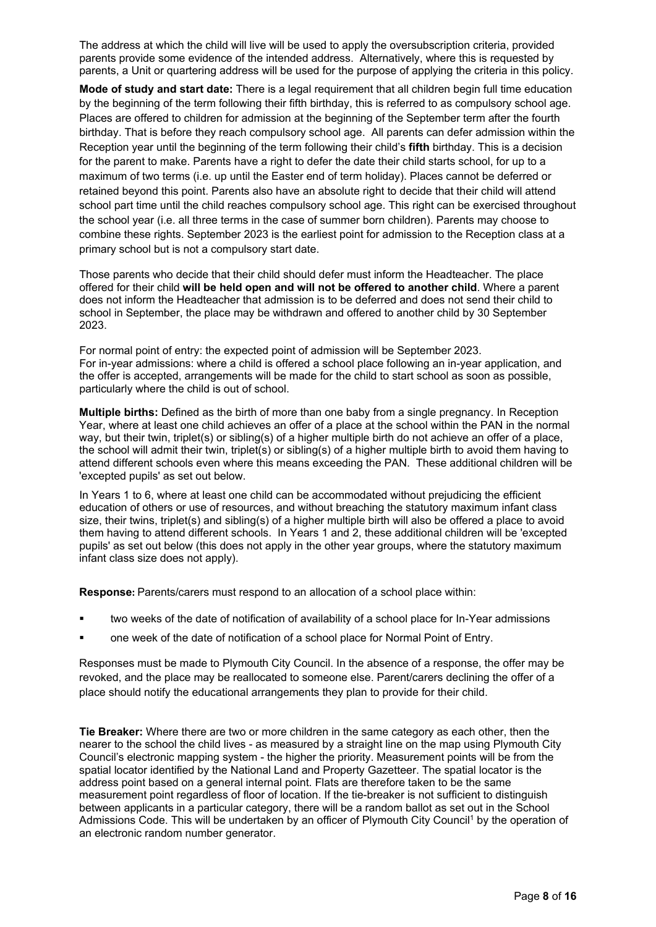The address at which the child will live will be used to apply the oversubscription criteria, provided parents provide some evidence of the intended address. Alternatively, where this is requested by parents, a Unit or quartering address will be used for the purpose of applying the criteria in this policy.

**Mode of study and start date:** There is a legal requirement that all children begin full time education by the beginning of the term following their fifth birthday, this is referred to as compulsory school age. Places are offered to children for admission at the beginning of the September term after the fourth birthday. That is before they reach compulsory school age. All parents can defer admission within the Reception year until the beginning of the term following their child's **fifth** birthday. This is a decision for the parent to make. Parents have a right to defer the date their child starts school, for up to a maximum of two terms (i.e. up until the Easter end of term holiday). Places cannot be deferred or retained beyond this point. Parents also have an absolute right to decide that their child will attend school part time until the child reaches compulsory school age. This right can be exercised throughout the school year (i.e. all three terms in the case of summer born children). Parents may choose to combine these rights. September 2023 is the earliest point for admission to the Reception class at a primary school but is not a compulsory start date.

Those parents who decide that their child should defer must inform the Headteacher. The place offered for their child **will be held open and will not be offered to another child**. Where a parent does not inform the Headteacher that admission is to be deferred and does not send their child to school in September, the place may be withdrawn and offered to another child by 30 September 2023.

For normal point of entry: the expected point of admission will be September 2023. For in-year admissions: where a child is offered a school place following an in-year application, and the offer is accepted, arrangements will be made for the child to start school as soon as possible, particularly where the child is out of school.

**Multiple births:** Defined as the birth of more than one baby from a single pregnancy. In Reception Year, where at least one child achieves an offer of a place at the school within the PAN in the normal way, but their twin, triplet(s) or sibling(s) of a higher multiple birth do not achieve an offer of a place, the school will admit their twin, triplet(s) or sibling(s) of a higher multiple birth to avoid them having to attend different schools even where this means exceeding the PAN. These additional children will be 'excepted pupils' as set out below.

In Years 1 to 6, where at least one child can be accommodated without prejudicing the efficient education of others or use of resources, and without breaching the statutory maximum infant class size, their twins, triplet(s) and sibling(s) of a higher multiple birth will also be offered a place to avoid them having to attend different schools. In Years 1 and 2, these additional children will be 'excepted pupils' as set out below (this does not apply in the other year groups, where the statutory maximum infant class size does not apply).

**Response:** Parents/carers must respond to an allocation of a school place within:

- two weeks of the date of notification of availability of a school place for In-Year admissions
- one week of the date of notification of a school place for Normal Point of Entry.

Responses must be made to Plymouth City Council. In the absence of a response, the offer may be revoked, and the place may be reallocated to someone else. Parent/carers declining the offer of a place should notify the educational arrangements they plan to provide for their child.

**Tie Breaker:** Where there are two or more children in the same category as each other, then the nearer to the school the child lives - as measured by a straight line on the map using Plymouth City Council's electronic mapping system - the higher the priority. Measurement points will be from the spatial locator identified by the National Land and Property Gazetteer. The spatial locator is the address point based on a general internal point. Flats are therefore taken to be the same measurement point regardless of floor of location. If the tie-breaker is not sufficient to distinguish between applicants in a particular category, there will be a random ballot as set out in the School Admissions Code. This will be undertaken by an officer of Plymouth City Council<sup>1</sup> by the operation of an electronic random number generator.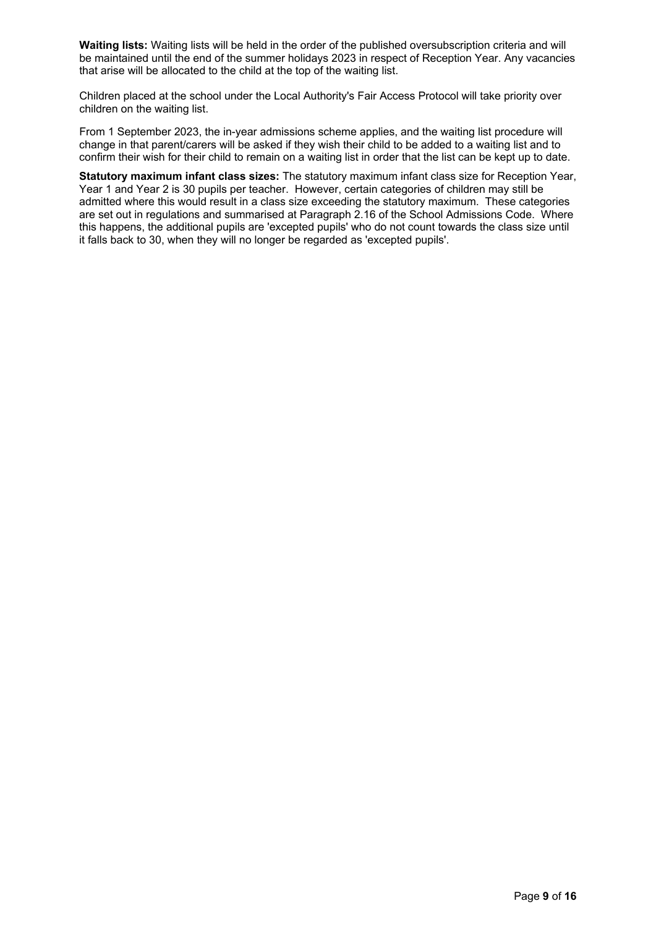**Waiting lists:** Waiting lists will be held in the order of the published oversubscription criteria and will be maintained until the end of the summer holidays 2023 in respect of Reception Year. Any vacancies that arise will be allocated to the child at the top of the waiting list.

Children placed at the school under the Local Authority's Fair Access Protocol will take priority over children on the waiting list.

From 1 September 2023, the in-year admissions scheme applies, and the waiting list procedure will change in that parent/carers will be asked if they wish their child to be added to a waiting list and to confirm their wish for their child to remain on a waiting list in order that the list can be kept up to date.

**Statutory maximum infant class sizes:** The statutory maximum infant class size for Reception Year, Year 1 and Year 2 is 30 pupils per teacher. However, certain categories of children may still be admitted where this would result in a class size exceeding the statutory maximum. These categories are set out in regulations and summarised at Paragraph 2.16 of the School Admissions Code. Where this happens, the additional pupils are 'excepted pupils' who do not count towards the class size until it falls back to 30, when they will no longer be regarded as 'excepted pupils'.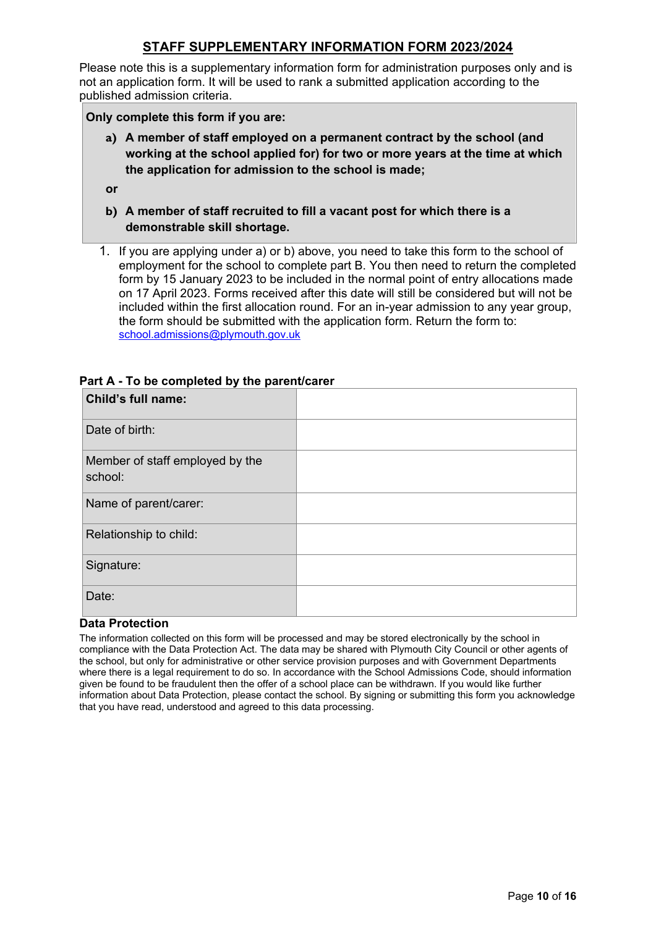# **STAFF SUPPLEMENTARY INFORMATION FORM 2023/2024**

Please note this is a supplementary information form for administration purposes only and is not an application form. It will be used to rank a submitted application according to the published admission criteria.

**Only complete this form if you are:**

**a) A member of staff employed on a permanent contract by the school (and working at the school applied for) for two or more years at the time at which the application for admission to the school is made;**

**or**

- **b) A member of staff recruited to fill a vacant post for which there is a demonstrable skill shortage.**
- 1. If you are applying under a) or b) above, you need to take this form to the school of employment for the school to complete part B. You then need to return the completed form by 15 January 2023 to be included in the normal point of entry allocations made on 17 April 2023. Forms received after this date will still be considered but will not be included within the first allocation round. For an in-year admission to any year group, the form should be submitted with the application form. Return the form to: [school.admissions@plymouth.gov.uk](mailto:school.admissions@plymouth.gov.uk)

| Child's full name:                         |  |
|--------------------------------------------|--|
| Date of birth:                             |  |
| Member of staff employed by the<br>school: |  |
| Name of parent/carer:                      |  |
| Relationship to child:                     |  |
| Signature:                                 |  |
| Date:                                      |  |

## **Part A - To be completed by the parent/carer**

## **Data Protection**

The information collected on this form will be processed and may be stored electronically by the school in compliance with the Data Protection Act. The data may be shared with Plymouth City Council or other agents of the school, but only for administrative or other service provision purposes and with Government Departments where there is a legal requirement to do so. In accordance with the School Admissions Code, should information given be found to be fraudulent then the offer of a school place can be withdrawn. If you would like further information about Data Protection, please contact the school. By signing or submitting this form you acknowledge that you have read, understood and agreed to this data processing.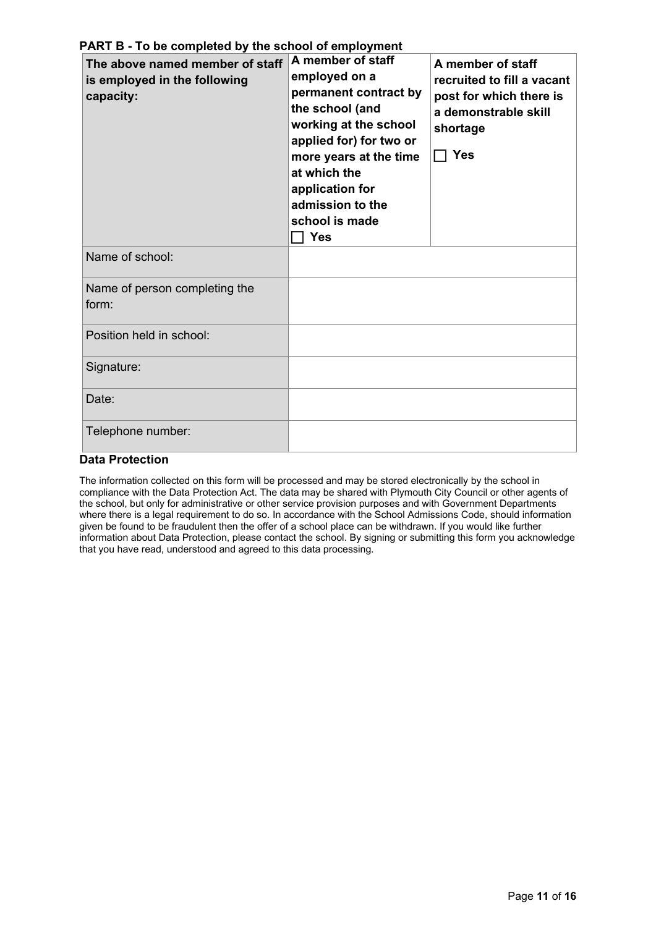| The above named member of staff<br>is employed in the following<br>capacity: | A member of staff<br>employed on a<br>permanent contract by<br>the school (and<br>working at the school<br>applied for) for two or<br>more years at the time<br>at which the<br>application for<br>admission to the<br>school is made<br><b>Yes</b> | A member of staff<br>recruited to fill a vacant<br>post for which there is<br>a demonstrable skill<br>shortage<br>$\Box$ Yes |
|------------------------------------------------------------------------------|-----------------------------------------------------------------------------------------------------------------------------------------------------------------------------------------------------------------------------------------------------|------------------------------------------------------------------------------------------------------------------------------|
| Name of school:                                                              |                                                                                                                                                                                                                                                     |                                                                                                                              |
| Name of person completing the<br>form:                                       |                                                                                                                                                                                                                                                     |                                                                                                                              |
| Position held in school:                                                     |                                                                                                                                                                                                                                                     |                                                                                                                              |
| Signature:                                                                   |                                                                                                                                                                                                                                                     |                                                                                                                              |
| Date:                                                                        |                                                                                                                                                                                                                                                     |                                                                                                                              |
| Telephone number:                                                            |                                                                                                                                                                                                                                                     |                                                                                                                              |

**PART B - To be completed by the school of employment**

## **Data Protection**

The information collected on this form will be processed and may be stored electronically by the school in compliance with the Data Protection Act. The data may be shared with Plymouth City Council or other agents of the school, but only for administrative or other service provision purposes and with Government Departments where there is a legal requirement to do so. In accordance with the School Admissions Code, should information given be found to be fraudulent then the offer of a school place can be withdrawn. If you would like further information about Data Protection, please contact the school. By signing or submitting this form you acknowledge that you have read, understood and agreed to this data processing.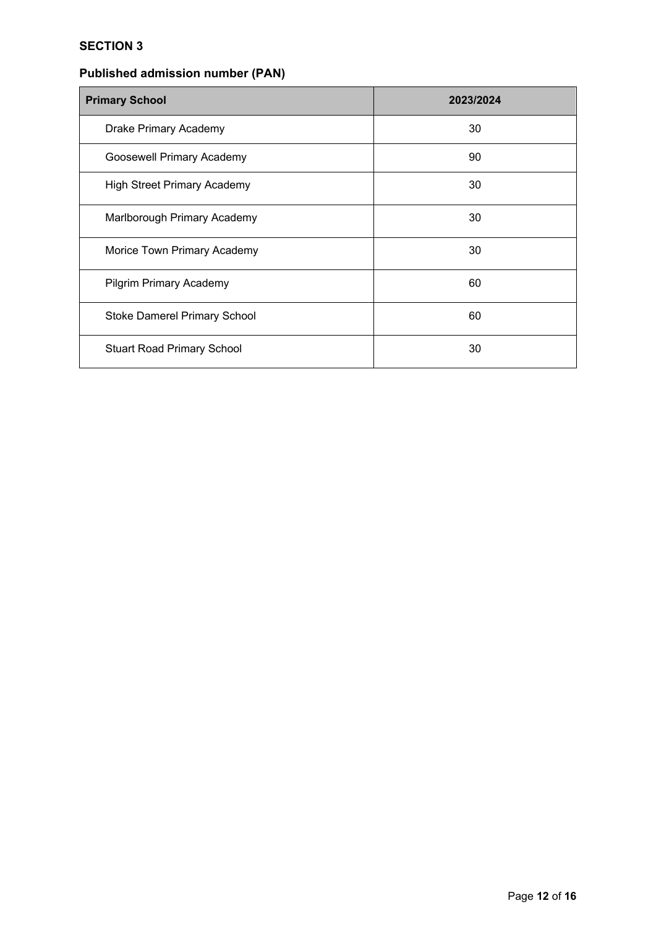# **SECTION 3**

# **Published admission number (PAN)**

| <b>Primary School</b>              | 2023/2024 |
|------------------------------------|-----------|
| Drake Primary Academy              | 30        |
| Goosewell Primary Academy          | 90        |
| <b>High Street Primary Academy</b> | 30        |
| Marlborough Primary Academy        | 30        |
| Morice Town Primary Academy        | 30        |
| <b>Pilgrim Primary Academy</b>     | 60        |
| Stoke Damerel Primary School       | 60        |
| <b>Stuart Road Primary School</b>  | 30        |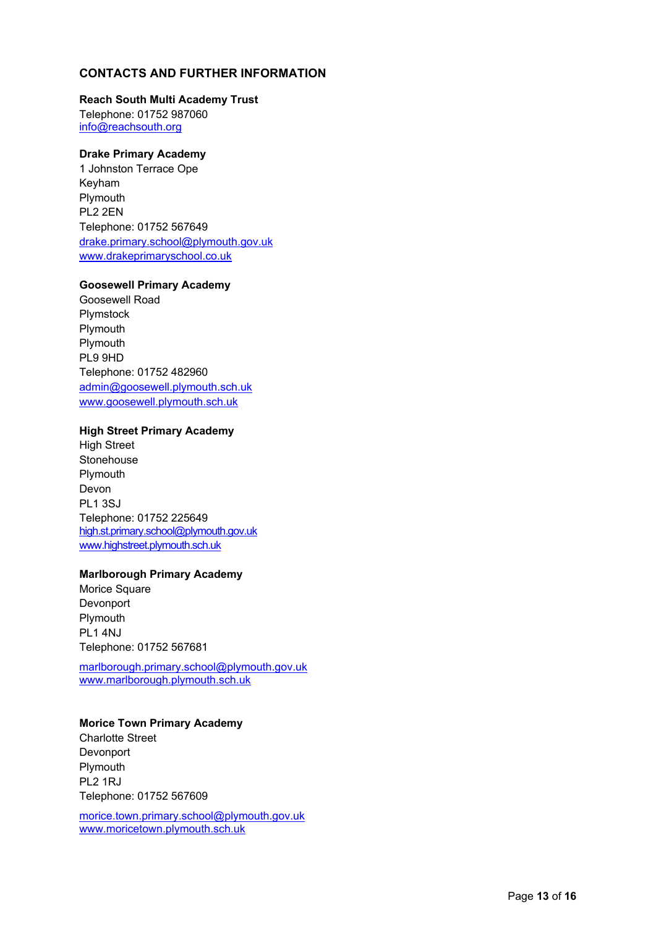## **CONTACTS AND FURTHER INFORMATION**

#### **Reach South Multi Academy Trust**

Telephone: 01752 987060 [info@reachsouth.org](mailto:info@reachsouth.org)

#### **Drake Primary Academy**

1 Johnston Terrace Ope Keyham Plymouth PL2 2EN Telephone: 01752 567649 [drake.primary.school@plymouth.gov.uk](mailto:drake.primary.school@plymouth.gov.uk) [www.drakeprimaryschool.co.uk](http://www.drakeprimaryschool.co.uk/)

## **Goosewell Primary Academy**

Goosewell Road Plymstock Plymouth Plymouth PL9 9HD Telephone: 01752 482960 [admin@goosewell.plymouth.sch.uk](mailto:goosewell.primary.school@plymouth.gov.uk) [www.goosewell.plymouth.sch.uk](http://www.goosewell.plymouth.sch.uk/)

## **High Street Primary Academy**

High Street **Stonehouse** Plymouth Devon PL1 3SJ Telephone: 01752 225649 [high.st.primary.school@plymouth.gov.uk](mailto:high.st.primary.school@plymouth.gov.uk) [www.highstreet.plymouth.sch.uk](http://www.highstreet.plymouth.sch.uk/)

#### **Marlborough Primary Academy**

Morice Square Devonport Plymouth PL1 4NJ Telephone: 01752 567681

[marlborough.primary.school@plymouth.gov.uk](mailto:marlborough.primary.school@plymouth.gov.uk) [www.marlborough.plymouth.sch.uk](http://www.marlborough.plymouth.sch.uk/)

## **Morice Town Primary Academy**

Charlotte Street Devonport Plymouth PL2 1RJ Telephone: 01752 567609

[morice.town.primary.school@plymouth.gov.uk](mailto:morice.town.primary.school@plymouth.gov.uk) [www.moricetown.plymouth.sch.uk](http://www.moricetown.plymouth.sch.uk/)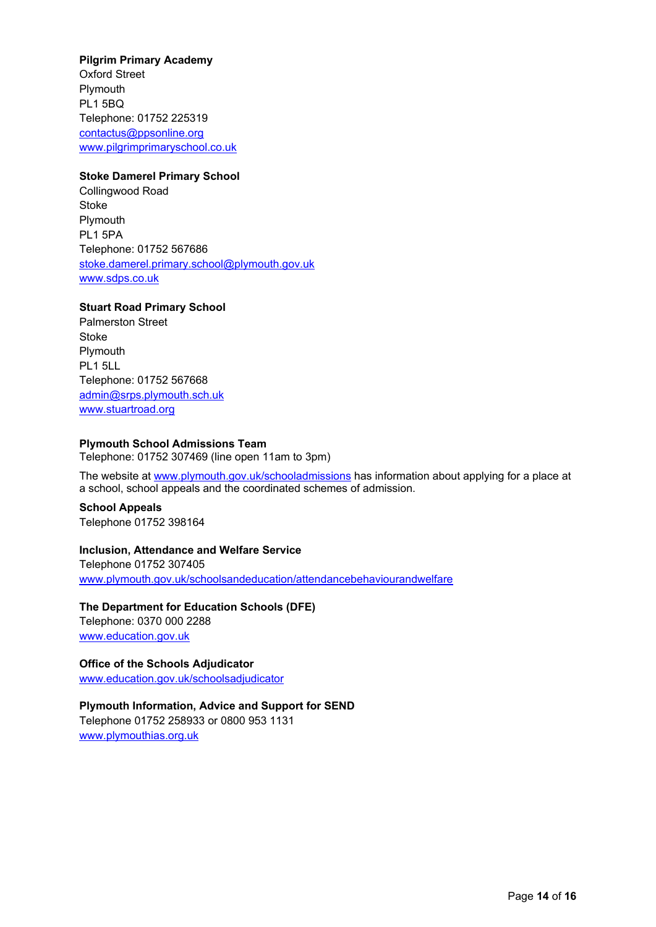**Pilgrim Primary Academy** Oxford Street Plymouth PL1 5BQ Telephone: 01752 225319 [contactus@ppsonline.org](mailto:contactus@ppsonline.org) [www.pilgrimprimaryschool.co.uk](http://www.pilgrimprimaryschool.co.uk/)

#### **Stoke Damerel Primary School**

Collingwood Road Stoke **Plymouth** PL1 5PA Telephone: 01752 567686 [stoke.damerel.primary.school@plymouth.gov.uk](mailto:stoke.damerel.primary.school@plymouth.gov.uk) [www.sdps.co.uk](http://www.sdps.co.uk/)

## **Stuart Road Primary School**

Palmerston Street Stoke Plymouth PL1 5LL Telephone: 01752 567668 [admin@srps.plymouth.sch.uk](mailto:admin@srps.plymouth.sch.uk) [www.stuartroad.org](http://www.stuartroad.org/)

#### **Plymouth School Admissions Team**

Telephone: 01752 307469 (line open 11am to 3pm)

The website at [www.plymouth.gov.uk/schooladmissions](http://www.plymouth.gov.uk/schooladmissions) has information about applying for a place at a school, school appeals and the coordinated schemes of admission.

**School Appeals** Telephone 01752 398164

#### **Inclusion, Attendance and Welfare Service**

Telephone 01752 307405 [www.plymouth.gov.uk/schoolsandeducation/attendancebehaviourandwelfare](http://www.plymouth.gov.uk/schoolsandeducation/attendancebehaviourandwelfare)

**The Department for Education Schools (DFE)** Telephone: 0370 000 2288 [www.education.gov.uk](http://www.education.gov.uk/)

**Office of the Schools Adjudicator**  [www.education.gov.uk/schoolsadjudicator](http://www.education.gov.uk/schoolsadjudicator)

**Plymouth Information, Advice and Support for SEND** Telephone 01752 258933 or 0800 953 1131 [www.plymouthias.org.uk](http://www.plymouthias.org.uk/)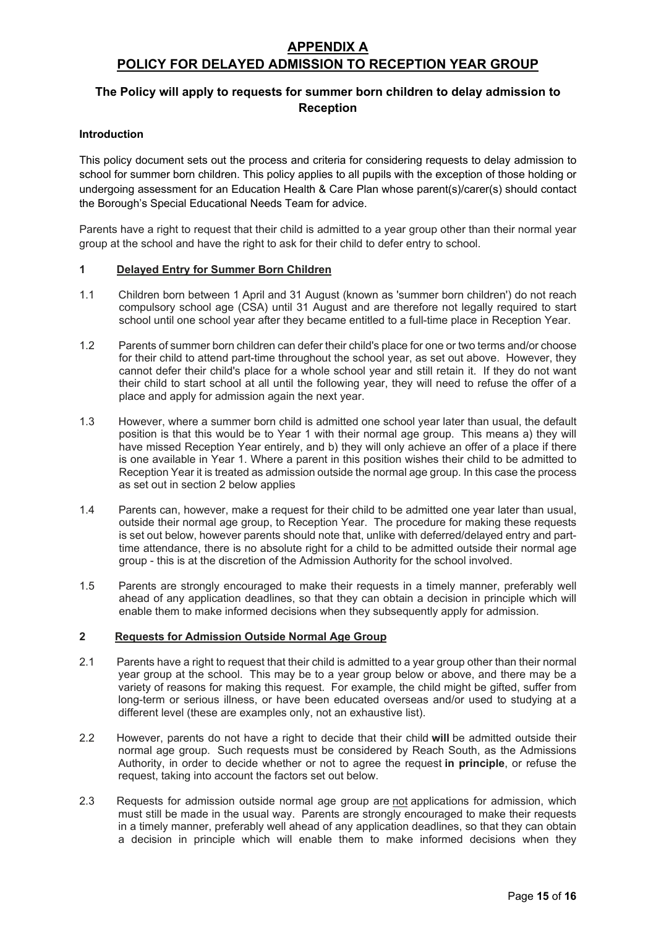# **APPENDIX A POLICY FOR DELAYED ADMISSION TO RECEPTION YEAR GROUP**

# **The Policy will apply to requests for summer born children to delay admission to Reception**

## **Introduction**

This policy document sets out the process and criteria for considering requests to delay admission to school for summer born children. This policy applies to all pupils with the exception of those holding or undergoing assessment for an Education Health & Care Plan whose parent(s)/carer(s) should contact the Borough's Special Educational Needs Team for advice.

Parents have a right to request that their child is admitted to a year group other than their normal year group at the school and have the right to ask for their child to defer entry to school.

## **1 Delayed Entry for Summer Born Children**

- 1.1 Children born between 1 April and 31 August (known as 'summer born children') do not reach compulsory school age (CSA) until 31 August and are therefore not legally required to start school until one school year after they became entitled to a full-time place in Reception Year.
- 1.2 Parents of summer born children can defer their child's place for one or two terms and/or choose for their child to attend part-time throughout the school year, as set out above. However, they cannot defer their child's place for a whole school year and still retain it. If they do not want their child to start school at all until the following year, they will need to refuse the offer of a place and apply for admission again the next year.
- 1.3 However, where a summer born child is admitted one school year later than usual, the default position is that this would be to Year 1 with their normal age group. This means a) they will have missed Reception Year entirely, and b) they will only achieve an offer of a place if there is one available in Year 1. Where a parent in this position wishes their child to be admitted to Reception Year it is treated as admission outside the normal age group. In this case the process as set out in section 2 below applies
- 1.4 Parents can, however, make a request for their child to be admitted one year later than usual, outside their normal age group, to Reception Year. The procedure for making these requests is set out below, however parents should note that, unlike with deferred/delayed entry and parttime attendance, there is no absolute right for a child to be admitted outside their normal age group - this is at the discretion of the Admission Authority for the school involved.
- 1.5 Parents are strongly encouraged to make their requests in a timely manner, preferably well ahead of any application deadlines, so that they can obtain a decision in principle which will enable them to make informed decisions when they subsequently apply for admission.

## **2 Requests for Admission Outside Normal Age Group**

- 2.1 Parents have a right to request that their child is admitted to a year group other than their normal year group at the school. This may be to a year group below or above, and there may be a variety of reasons for making this request. For example, the child might be gifted, suffer from long-term or serious illness, or have been educated overseas and/or used to studying at a different level (these are examples only, not an exhaustive list).
- 2.2 However, parents do not have a right to decide that their child **will** be admitted outside their normal age group. Such requests must be considered by Reach South, as the Admissions Authority, in order to decide whether or not to agree the request **in principle**, or refuse the request, taking into account the factors set out below.
- 2.3 Requests for admission outside normal age group are not applications for admission, which must still be made in the usual way. Parents are strongly encouraged to make their requests in a timely manner, preferably well ahead of any application deadlines, so that they can obtain a decision in principle which will enable them to make informed decisions when they